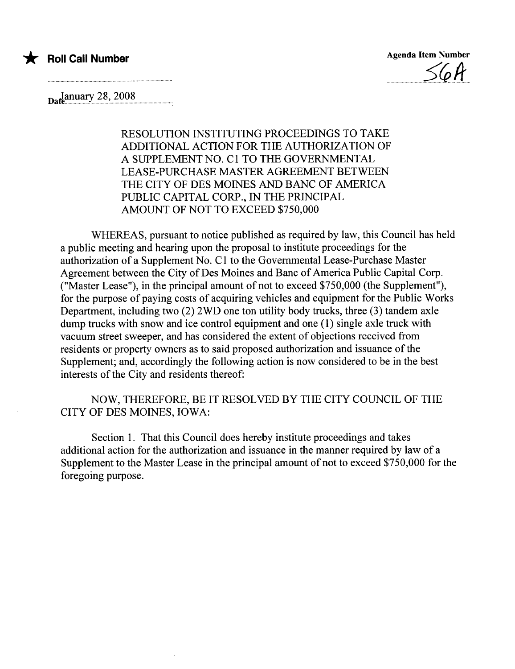

\* Roll Call Number Agenda Item Number  $-$ 

 $\mu_{\text{a}}$ January 28, 2008

RESOLUTION INSTITUTING PROCEEDINGS TO TAKE ADDITIONAL ACTION FOR THE AUTHORIZATION OF A SUPPLEMENT NO. C1 TO THE GOVERNNTAL LEASE-PURCHASE MASTER AGREEMENT BETWEEN THE CITY OF DES MOINES AND BANC OF AMERICA PUBLIC CAPITAL CORP., IN THE PRINCIPAL AMOUNT OF NOT TO EXCEED \$750,000

WHEREAS, pursuant to notice published as required by law, this Council has held a public meeting and hearing upon the proposal to institute proceedings for the authorization of a Supplement No. C 1 to the Governmental Lease-Purchase Master Agreement between the City of Des Moines and Bane of America Public Capital Corp. ("Master Lease"), in the principal amount of not to exceed \$750,000 (the Supplement"), for the purpose of paying costs of acquiring vehicles and equipment for the Public Works Department, including two (2) 2WD one ton utilty body trucks, three (3) tandem axle dump trucks with snow and ice control equipment and one (1) single axle truck with vacuum street sweeper, and has considered the extent of objections received from residents or property owners as to said proposed authorization and issuance of the Supplement; and, accordingly the following action is now considered to be in the best interests of the City and residents thereof:

NOW, THEREFORE, BE IT RESOLVED BY THE CITY COUNCIL OF THE CITY OF DES MOINES, IOWA:

Section 1. That this Council does hereby institute proceedings and takes additional action for the authorization and issuance in the manner required by law of a Supplement to the Master Lease in the principal amount of not to exceed \$750,000 for the foregoing purpose.